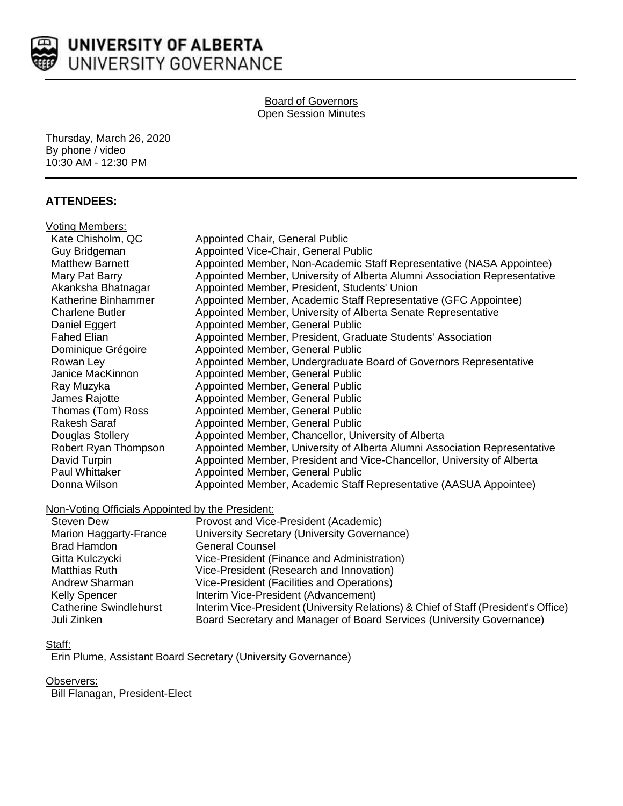

#### Board of Governors Open Session Minutes

Thursday, March 26, 2020 By phone / video 10:30 AM - 12:30 PM

# **ATTENDEES:**

| Voting Members:        |                                                                           |
|------------------------|---------------------------------------------------------------------------|
| Kate Chisholm, QC      | Appointed Chair, General Public                                           |
| Guy Bridgeman          | Appointed Vice-Chair, General Public                                      |
| <b>Matthew Barnett</b> | Appointed Member, Non-Academic Staff Representative (NASA Appointee)      |
| Mary Pat Barry         | Appointed Member, University of Alberta Alumni Association Representative |
| Akanksha Bhatnagar     | Appointed Member, President, Students' Union                              |
| Katherine Binhammer    | Appointed Member, Academic Staff Representative (GFC Appointee)           |
| <b>Charlene Butler</b> | Appointed Member, University of Alberta Senate Representative             |
| Daniel Eggert          | Appointed Member, General Public                                          |
| <b>Fahed Elian</b>     | Appointed Member, President, Graduate Students' Association               |
| Dominique Grégoire     | Appointed Member, General Public                                          |
| Rowan Ley              | Appointed Member, Undergraduate Board of Governors Representative         |
| Janice MacKinnon       | Appointed Member, General Public                                          |
| Ray Muzyka             | Appointed Member, General Public                                          |
| James Rajotte          | Appointed Member, General Public                                          |
| Thomas (Tom) Ross      | Appointed Member, General Public                                          |
| <b>Rakesh Saraf</b>    | Appointed Member, General Public                                          |
| Douglas Stollery       | Appointed Member, Chancellor, University of Alberta                       |
| Robert Ryan Thompson   | Appointed Member, University of Alberta Alumni Association Representative |
| David Turpin           | Appointed Member, President and Vice-Chancellor, University of Alberta    |
| Paul Whittaker         | Appointed Member, General Public                                          |
| Donna Wilson           | Appointed Member, Academic Staff Representative (AASUA Appointee)         |
|                        |                                                                           |

# Non-Voting Officials Appointed by the President:

| <b>Steven Dew</b>             | Provost and Vice-President (Academic)                                               |
|-------------------------------|-------------------------------------------------------------------------------------|
| Marion Haggarty-France        | University Secretary (University Governance)                                        |
| <b>Brad Hamdon</b>            | <b>General Counsel</b>                                                              |
| Gitta Kulczycki               | Vice-President (Finance and Administration)                                         |
| Matthias Ruth                 | Vice-President (Research and Innovation)                                            |
| Andrew Sharman                | Vice-President (Facilities and Operations)                                          |
| <b>Kelly Spencer</b>          | Interim Vice-President (Advancement)                                                |
| <b>Catherine Swindlehurst</b> | Interim Vice-President (University Relations) & Chief of Staff (President's Office) |
| Juli Zinken                   | Board Secretary and Manager of Board Services (University Governance)               |

### Staff:

Erin Plume, Assistant Board Secretary (University Governance)

### Observers:

Bill Flanagan, President-Elect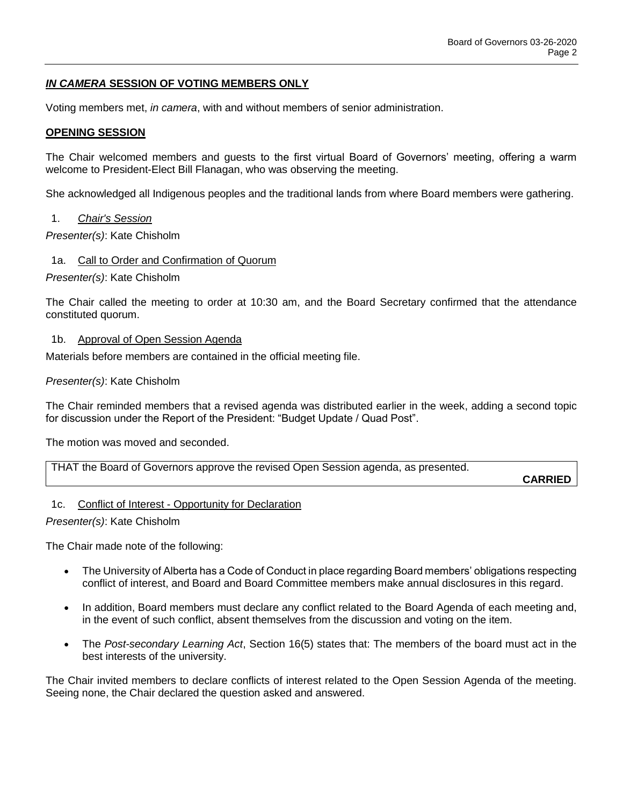# *IN CAMERA* **SESSION OF VOTING MEMBERS ONLY**

Voting members met, *in camera*, with and without members of senior administration.

#### **OPENING SESSION**

The Chair welcomed members and guests to the first virtual Board of Governors' meeting, offering a warm welcome to President-Elect Bill Flanagan, who was observing the meeting.

She acknowledged all Indigenous peoples and the traditional lands from where Board members were gathering.

#### 1. *Chair's Session*

*Presenter(s)*: Kate Chisholm

#### 1a. Call to Order and Confirmation of Quorum

*Presenter(s)*: Kate Chisholm

The Chair called the meeting to order at 10:30 am, and the Board Secretary confirmed that the attendance constituted quorum.

#### 1b. Approval of Open Session Agenda

Materials before members are contained in the official meeting file.

#### *Presenter(s)*: Kate Chisholm

The Chair reminded members that a revised agenda was distributed earlier in the week, adding a second topic for discussion under the Report of the President: "Budget Update / Quad Post".

The motion was moved and seconded.

THAT the Board of Governors approve the revised Open Session agenda, as presented.

**CARRIED**

#### 1c. Conflict of Interest - Opportunity for Declaration

*Presenter(s)*: Kate Chisholm

The Chair made note of the following:

- The University of Alberta has a Code of Conduct in place regarding Board members' obligations respecting conflict of interest, and Board and Board Committee members make annual disclosures in this regard.
- In addition, Board members must declare any conflict related to the Board Agenda of each meeting and, in the event of such conflict, absent themselves from the discussion and voting on the item.
- The *Post-secondary Learning Act*, Section 16(5) states that: The members of the board must act in the best interests of the university.

The Chair invited members to declare conflicts of interest related to the Open Session Agenda of the meeting. Seeing none, the Chair declared the question asked and answered.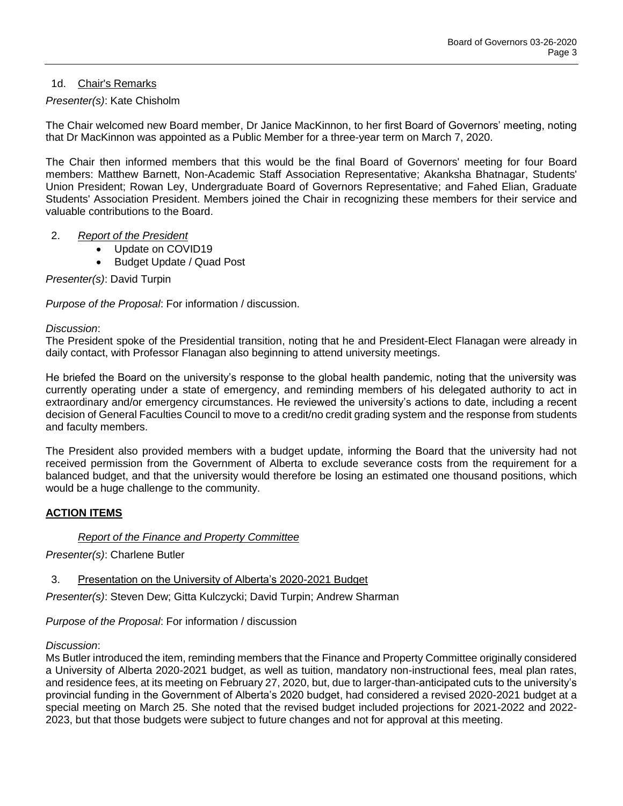# 1d. Chair's Remarks

# *Presenter(s)*: Kate Chisholm

The Chair welcomed new Board member, Dr Janice MacKinnon, to her first Board of Governors' meeting, noting that Dr MacKinnon was appointed as a Public Member for a three-year term on March 7, 2020.

The Chair then informed members that this would be the final Board of Governors' meeting for four Board members: Matthew Barnett, Non-Academic Staff Association Representative; Akanksha Bhatnagar, Students' Union President; Rowan Ley, Undergraduate Board of Governors Representative; and Fahed Elian, Graduate Students' Association President. Members joined the Chair in recognizing these members for their service and valuable contributions to the Board.

# 2. *Report of the President*

- Update on COVID19
- Budget Update / Quad Post

*Presenter(s)*: David Turpin

*Purpose of the Proposal*: For information / discussion.

#### *Discussion*:

The President spoke of the Presidential transition, noting that he and President-Elect Flanagan were already in daily contact, with Professor Flanagan also beginning to attend university meetings.

He briefed the Board on the university's response to the global health pandemic, noting that the university was currently operating under a state of emergency, and reminding members of his delegated authority to act in extraordinary and/or emergency circumstances. He reviewed the university's actions to date, including a recent decision of General Faculties Council to move to a credit/no credit grading system and the response from students and faculty members.

The President also provided members with a budget update, informing the Board that the university had not received permission from the Government of Alberta to exclude severance costs from the requirement for a balanced budget, and that the university would therefore be losing an estimated one thousand positions, which would be a huge challenge to the community.

### **ACTION ITEMS**

### *Report of the Finance and Property Committee*

*Presenter(s)*: Charlene Butler

3. Presentation on the University of Alberta's 2020-2021 Budget

*Presenter(s)*: Steven Dew; Gitta Kulczycki; David Turpin; Andrew Sharman

*Purpose of the Proposal*: For information / discussion

### *Discussion*:

Ms Butler introduced the item, reminding members that the Finance and Property Committee originally considered a University of Alberta 2020-2021 budget, as well as tuition, mandatory non-instructional fees, meal plan rates, and residence fees, at its meeting on February 27, 2020, but, due to larger-than-anticipated cuts to the university's provincial funding in the Government of Alberta's 2020 budget, had considered a revised 2020-2021 budget at a special meeting on March 25. She noted that the revised budget included projections for 2021-2022 and 2022- 2023, but that those budgets were subject to future changes and not for approval at this meeting.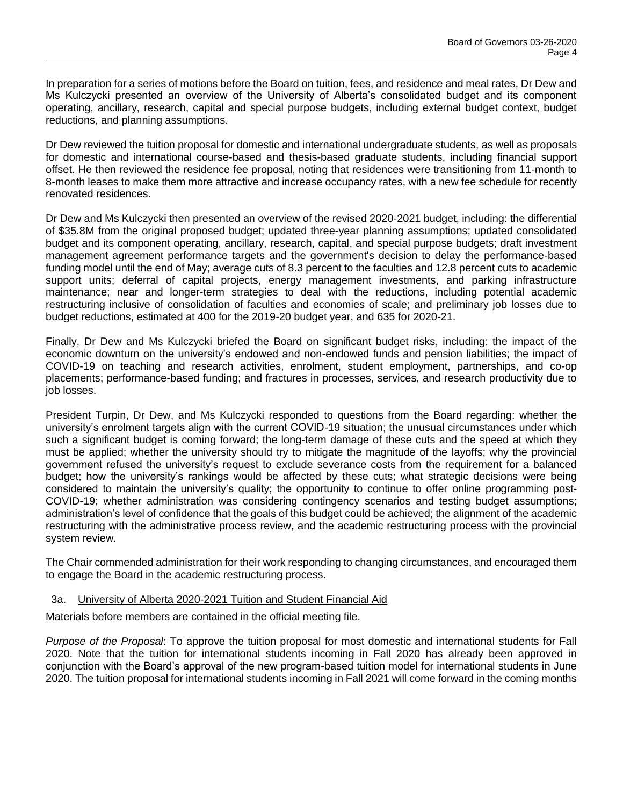In preparation for a series of motions before the Board on tuition, fees, and residence and meal rates, Dr Dew and Ms Kulczycki presented an overview of the University of Alberta's consolidated budget and its component operating, ancillary, research, capital and special purpose budgets, including external budget context, budget reductions, and planning assumptions.

Dr Dew reviewed the tuition proposal for domestic and international undergraduate students, as well as proposals for domestic and international course-based and thesis-based graduate students, including financial support offset. He then reviewed the residence fee proposal, noting that residences were transitioning from 11-month to 8-month leases to make them more attractive and increase occupancy rates, with a new fee schedule for recently renovated residences.

Dr Dew and Ms Kulczycki then presented an overview of the revised 2020-2021 budget, including: the differential of \$35.8M from the original proposed budget; updated three-year planning assumptions; updated consolidated budget and its component operating, ancillary, research, capital, and special purpose budgets; draft investment management agreement performance targets and the government's decision to delay the performance-based funding model until the end of May; average cuts of 8.3 percent to the faculties and 12.8 percent cuts to academic support units; deferral of capital projects, energy management investments, and parking infrastructure maintenance; near and longer-term strategies to deal with the reductions, including potential academic restructuring inclusive of consolidation of faculties and economies of scale; and preliminary job losses due to budget reductions, estimated at 400 for the 2019-20 budget year, and 635 for 2020-21.

Finally, Dr Dew and Ms Kulczycki briefed the Board on significant budget risks, including: the impact of the economic downturn on the university's endowed and non-endowed funds and pension liabilities; the impact of COVID-19 on teaching and research activities, enrolment, student employment, partnerships, and co-op placements; performance-based funding; and fractures in processes, services, and research productivity due to job losses.

President Turpin, Dr Dew, and Ms Kulczycki responded to questions from the Board regarding: whether the university's enrolment targets align with the current COVID-19 situation; the unusual circumstances under which such a significant budget is coming forward; the long-term damage of these cuts and the speed at which they must be applied; whether the university should try to mitigate the magnitude of the layoffs; why the provincial government refused the university's request to exclude severance costs from the requirement for a balanced budget; how the university's rankings would be affected by these cuts; what strategic decisions were being considered to maintain the university's quality; the opportunity to continue to offer online programming post-COVID-19; whether administration was considering contingency scenarios and testing budget assumptions; administration's level of confidence that the goals of this budget could be achieved; the alignment of the academic restructuring with the administrative process review, and the academic restructuring process with the provincial system review.

The Chair commended administration for their work responding to changing circumstances, and encouraged them to engage the Board in the academic restructuring process.

### 3a. University of Alberta 2020-2021 Tuition and Student Financial Aid

Materials before members are contained in the official meeting file.

*Purpose of the Proposal*: To approve the tuition proposal for most domestic and international students for Fall 2020. Note that the tuition for international students incoming in Fall 2020 has already been approved in conjunction with the Board's approval of the new program-based tuition model for international students in June 2020. The tuition proposal for international students incoming in Fall 2021 will come forward in the coming months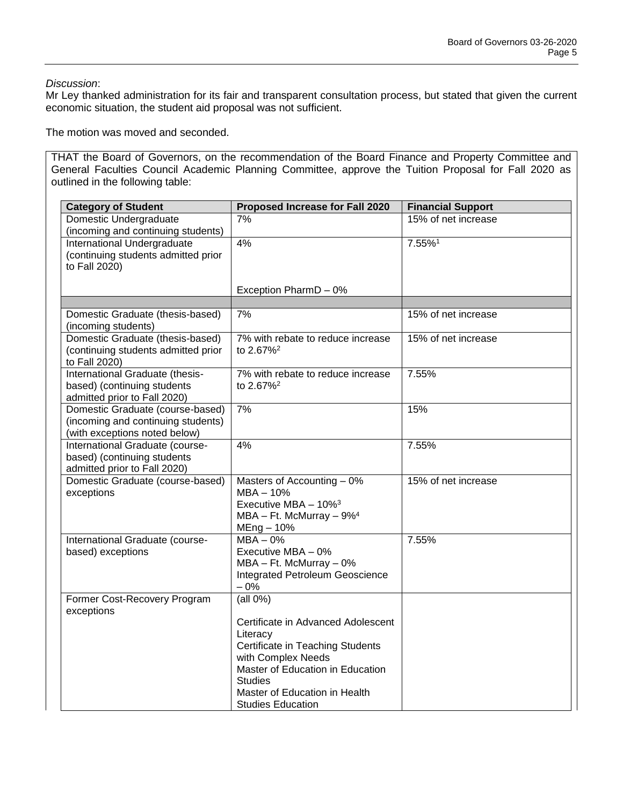*Discussion*:

Mr Ley thanked administration for its fair and transparent consultation process, but stated that given the current economic situation, the student aid proposal was not sufficient.

The motion was moved and seconded.

THAT the Board of Governors, on the recommendation of the Board Finance and Property Committee and General Faculties Council Academic Planning Committee, approve the Tuition Proposal for Fall 2020 as outlined in the following table:

| <b>Category of Student</b>                                                                              | Proposed Increase for Fall 2020                                                                                                                                                                                                           | <b>Financial Support</b> |
|---------------------------------------------------------------------------------------------------------|-------------------------------------------------------------------------------------------------------------------------------------------------------------------------------------------------------------------------------------------|--------------------------|
| Domestic Undergraduate<br>(incoming and continuing students)                                            | 7%                                                                                                                                                                                                                                        | 15% of net increase      |
| International Undergraduate<br>(continuing students admitted prior<br>to Fall 2020)                     | 4%                                                                                                                                                                                                                                        | 7.55%1                   |
|                                                                                                         | Exception PharmD - 0%                                                                                                                                                                                                                     |                          |
|                                                                                                         |                                                                                                                                                                                                                                           |                          |
| Domestic Graduate (thesis-based)<br>(incoming students)                                                 | 7%                                                                                                                                                                                                                                        | 15% of net increase      |
| Domestic Graduate (thesis-based)<br>(continuing students admitted prior<br>to Fall 2020)                | 7% with rebate to reduce increase<br>to 2.67% <sup>2</sup>                                                                                                                                                                                | 15% of net increase      |
| International Graduate (thesis-<br>based) (continuing students<br>admitted prior to Fall 2020)          | 7% with rebate to reduce increase<br>to 2.67% <sup>2</sup>                                                                                                                                                                                | 7.55%                    |
| Domestic Graduate (course-based)<br>(incoming and continuing students)<br>(with exceptions noted below) | 7%                                                                                                                                                                                                                                        | 15%                      |
| International Graduate (course-<br>based) (continuing students<br>admitted prior to Fall 2020)          | 4%                                                                                                                                                                                                                                        | 7.55%                    |
| Domestic Graduate (course-based)<br>exceptions                                                          | Masters of Accounting - 0%<br>MBA-10%<br>Executive MBA - 10% <sup>3</sup><br>$MBA - Ft$ . McMurray $-9\%$ <sup>4</sup><br>$MEng - 10%$                                                                                                    | 15% of net increase      |
| International Graduate (course-<br>based) exceptions                                                    | $MBA - 0%$<br>Executive MBA - 0%<br>$MBA - Ft$ . McMurray $-0\%$<br>Integrated Petroleum Geoscience<br>$-0%$                                                                                                                              | 7.55%                    |
| Former Cost-Recovery Program<br>exceptions                                                              | $uall 0\%$<br>Certificate in Advanced Adolescent<br>Literacy<br>Certificate in Teaching Students<br>with Complex Needs<br>Master of Education in Education<br><b>Studies</b><br>Master of Education in Health<br><b>Studies Education</b> |                          |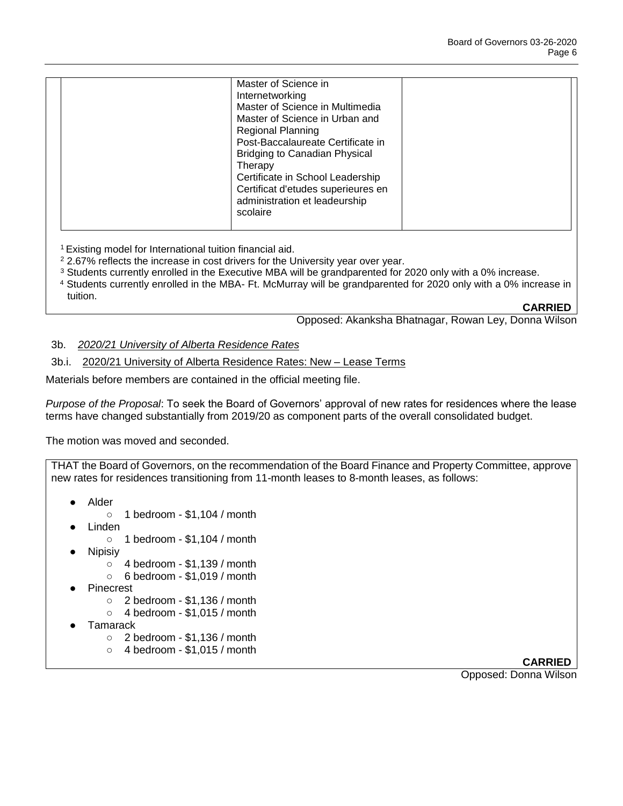| Master of Science in               |  |
|------------------------------------|--|
| Internetworking                    |  |
| Master of Science in Multimedia    |  |
| Master of Science in Urban and     |  |
| <b>Regional Planning</b>           |  |
| Post-Baccalaureate Certificate in  |  |
| Bridging to Canadian Physical      |  |
| Therapy                            |  |
| Certificate in School Leadership   |  |
| Certificat d'etudes superieures en |  |
| administration et leadeurship      |  |
| scolaire                           |  |
|                                    |  |

<sup>1</sup>Existing model for International tuition financial aid.

- <sup>2</sup> 2.67% reflects the increase in cost drivers for the University year over year.
- $3$  Students currently enrolled in the Executive MBA will be grandparented for 2020 only with a 0% increase.
- <sup>4</sup> Students currently enrolled in the MBA- Ft. McMurray will be grandparented for 2020 only with a 0% increase in tuition.

**CARRIED**

Opposed: Akanksha Bhatnagar, Rowan Ley, Donna Wilson

#### 3b. *2020/21 University of Alberta Residence Rates*

3b.i. 2020/21 University of Alberta Residence Rates: New – Lease Terms

Materials before members are contained in the official meeting file.

*Purpose of the Proposal*: To seek the Board of Governors' approval of new rates for residences where the lease terms have changed substantially from 2019/20 as component parts of the overall consolidated budget.

The motion was moved and seconded.

THAT the Board of Governors, on the recommendation of the Board Finance and Property Committee, approve new rates for residences transitioning from 11-month leases to 8-month leases, as follows:

- **Alder** 
	- 1 bedroom \$1,104 / month
- **Linden** 
	- 1 bedroom \$1,104 / month
- **Nipisiv** 
	- 4 bedroom \$1,139 / month
	- 6 bedroom \$1,019 / month
- **Pinecrest** 
	- $\circ$  2 bedroom \$1,136 / month
	- $\circ$  4 bedroom \$1,015 / month
- **Tamarack** 
	- 2 bedroom \$1,136 / month
	- 4 bedroom \$1,015 / month

**CARRIED**

Opposed: Donna Wilson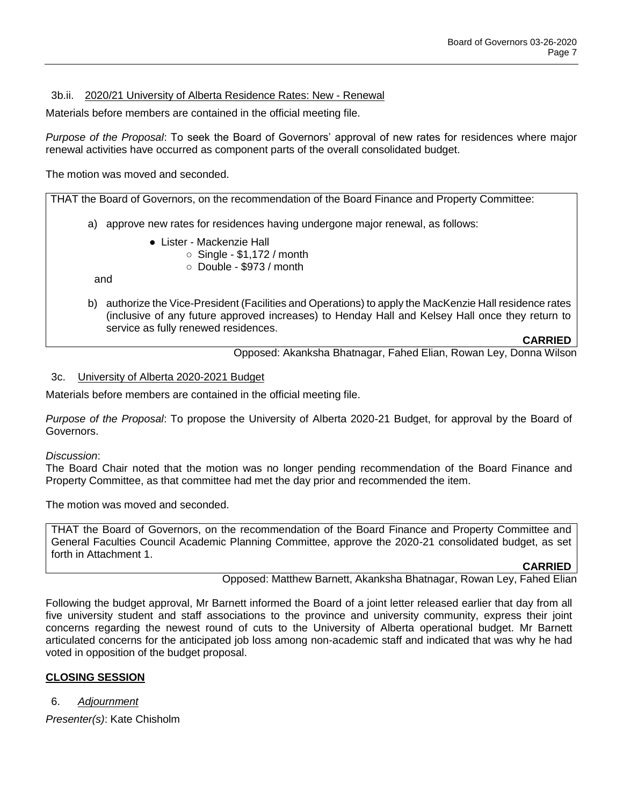# 3b.ii. 2020/21 University of Alberta Residence Rates: New - Renewal

Materials before members are contained in the official meeting file.

*Purpose of the Proposal*: To seek the Board of Governors' approval of new rates for residences where major renewal activities have occurred as component parts of the overall consolidated budget.

The motion was moved and seconded.

THAT the Board of Governors, on the recommendation of the Board Finance and Property Committee:

- a) approve new rates for residences having undergone major renewal, as follows:
	- Lister Mackenzie Hall
		- $\circ$  Single \$1,172 / month
			- $\circ$  Double \$973 / month

and

b) authorize the Vice-President (Facilities and Operations) to apply the MacKenzie Hall residence rates (inclusive of any future approved increases) to Henday Hall and Kelsey Hall once they return to service as fully renewed residences.

**CARRIED**

Opposed: Akanksha Bhatnagar, Fahed Elian, Rowan Ley, Donna Wilson

# 3c. University of Alberta 2020-2021 Budget

Materials before members are contained in the official meeting file.

*Purpose of the Proposal*: To propose the University of Alberta 2020-21 Budget, for approval by the Board of Governors.

### *Discussion*:

The Board Chair noted that the motion was no longer pending recommendation of the Board Finance and Property Committee, as that committee had met the day prior and recommended the item.

The motion was moved and seconded.

THAT the Board of Governors, on the recommendation of the Board Finance and Property Committee and General Faculties Council Academic Planning Committee, approve the 2020-21 consolidated budget, as set forth in Attachment 1.

### **CARRIED**

Opposed: Matthew Barnett, Akanksha Bhatnagar, Rowan Ley, Fahed Elian

Following the budget approval, Mr Barnett informed the Board of a joint letter released earlier that day from all five university student and staff associations to the province and university community, express their joint concerns regarding the newest round of cuts to the University of Alberta operational budget. Mr Barnett articulated concerns for the anticipated job loss among non-academic staff and indicated that was why he had voted in opposition of the budget proposal.

# **CLOSING SESSION**

6. *Adjournment*

*Presenter(s)*: Kate Chisholm